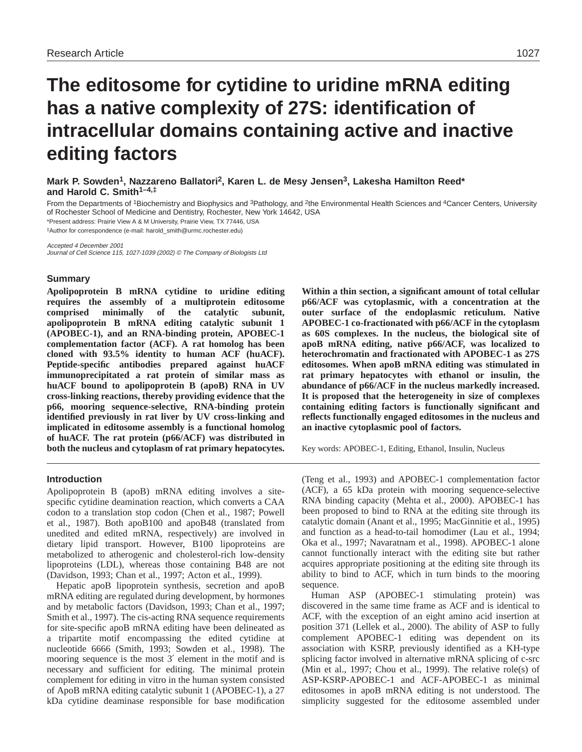# **The editosome for cytidine to uridine mRNA editing has a native complexity of 27S: identification of intracellular domains containing active and inactive editing factors**

**Mark P. Sowden1, Nazzareno Ballatori2, Karen L. de Mesy Jensen3, Lakesha Hamilton Reed\* and Harold C. Smith1–4,‡**

From the Departments of <sup>1</sup>Biochemistry and Biophysics and <sup>3</sup>Pathology, and <sup>2</sup>the Environmental Health Sciences and <sup>4</sup>Cancer Centers, University of Rochester School of Medicine and Dentistry, Rochester, New York 14642, USA

\*Present address: Prairie View A & M University, Prairie View, TX 77446, USA

‡Author for correspondence (e-mail: harold\_smith@urmc.rochester.edu)

Accepted 4 December 2001

Journal of Cell Science 115, 1027-1039 (2002) © The Company of Biologists Ltd

#### **Summary**

**Apolipoprotein B mRNA cytidine to uridine editing requires the assembly of a multiprotein editosome comprised minimally of the catalytic subunit, apolipoprotein B mRNA editing catalytic subunit 1 (APOBEC-1), and an RNA-binding protein, APOBEC-1 complementation factor (ACF). A rat homolog has been cloned with 93.5% identity to human ACF (huACF). Peptide-specific antibodies prepared against huACF immunoprecipitated a rat protein of similar mass as huACF bound to apolipoprotein B (apoB) RNA in UV cross-linking reactions, thereby providing evidence that the p66, mooring sequence-selective, RNA-binding protein identified previously in rat liver by UV cross-linking and implicated in editosome assembly is a functional homolog of huACF. The rat protein (p66/ACF) was distributed in both the nucleus and cytoplasm of rat primary hepatocytes.**

#### **Introduction**

Apolipoprotein B (apoB) mRNA editing involves a sitespecific cytidine deamination reaction, which converts a CAA codon to a translation stop codon (Chen et al., 1987; Powell et al., 1987). Both apoB100 and apoB48 (translated from unedited and edited mRNA, respectively) are involved in dietary lipid transport. However, B100 lipoproteins are metabolized to atherogenic and cholesterol-rich low-density lipoproteins (LDL), whereas those containing B48 are not (Davidson, 1993; Chan et al., 1997; Acton et al., 1999).

Hepatic apoB lipoprotein synthesis, secretion and apoB mRNA editing are regulated during development, by hormones and by metabolic factors (Davidson, 1993; Chan et al., 1997; Smith et al., 1997). The cis-acting RNA sequence requirements for site-specific apoB mRNA editing have been delineated as a tripartite motif encompassing the edited cytidine at nucleotide 6666 (Smith, 1993; Sowden et al., 1998). The mooring sequence is the most 3′ element in the motif and is necessary and sufficient for editing. The minimal protein complement for editing in vitro in the human system consisted of ApoB mRNA editing catalytic subunit 1 (APOBEC-1), a 27 kDa cytidine deaminase responsible for base modification

**Within a thin section, a significant amount of total cellular p66/ACF was cytoplasmic, with a concentration at the outer surface of the endoplasmic reticulum. Native APOBEC-1 co-fractionated with p66/ACF in the cytoplasm as 60S complexes. In the nucleus, the biological site of apoB mRNA editing, native p66/ACF, was localized to heterochromatin and fractionated with APOBEC-1 as 27S editosomes. When apoB mRNA editing was stimulated in rat primary hepatocytes with ethanol or insulin, the abundance of p66/ACF in the nucleus markedly increased. It is proposed that the heterogeneity in size of complexes containing editing factors is functionally significant and reflects functionally engaged editosomes in the nucleus and an inactive cytoplasmic pool of factors.** 

Key words: APOBEC-1, Editing, Ethanol, Insulin, Nucleus

(Teng et al., 1993) and APOBEC-1 complementation factor (ACF), a 65 kDa protein with mooring sequence-selective RNA binding capacity (Mehta et al., 2000). APOBEC-1 has been proposed to bind to RNA at the editing site through its catalytic domain (Anant et al., 1995; MacGinnitie et al., 1995) and function as a head-to-tail homodimer (Lau et al., 1994; Oka et al., 1997; Navaratnam et al., 1998). APOBEC-1 alone cannot functionally interact with the editing site but rather acquires appropriate positioning at the editing site through its ability to bind to ACF, which in turn binds to the mooring sequence.

Human ASP (APOBEC-1 stimulating protein) was discovered in the same time frame as ACF and is identical to ACF, with the exception of an eight amino acid insertion at position 371 (Lellek et al., 2000). The ability of ASP to fully complement APOBEC-1 editing was dependent on its association with KSRP, previously identified as a KH-type splicing factor involved in alternative mRNA splicing of c-src (Min et al., 1997; Chou et al., 1999). The relative role(s) of ASP-KSRP-APOBEC-1 and ACF-APOBEC-1 as minimal editosomes in apoB mRNA editing is not understood. The simplicity suggested for the editosome assembled under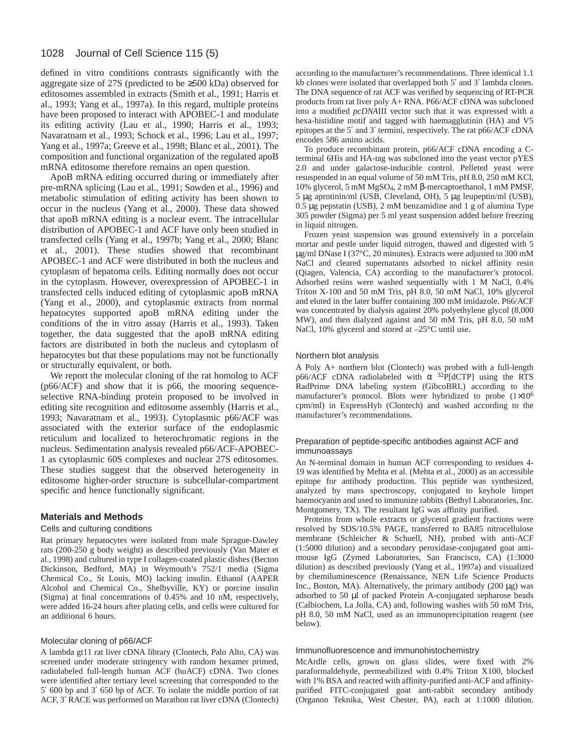defined in vitro conditions contrasts significantly with the aggregate size of 27S (predicted to be ≥500 kDa) observed for editosomes assembled in extracts (Smith et al., 1991; Harris et al., 1993; Yang et al., 1997a). In this regard, multiple proteins have been proposed to interact with APOBEC-1 and modulate its editing activity (Lau et al., 1990; Harris et al., 1993; Navaratnam et al., 1993; Schock et al., 1996; Lau et al., 1997; Yang et al., 1997a; Greeve et al., 1998; Blanc et al., 2001). The composition and functional organization of the regulated apoB mRNA editosome therefore remains an open question.

ApoB mRNA editing occurred during or immediately after pre-mRNA splicing (Lau et al., 1991; Sowden et al., 1996) and metabolic stimulation of editing activity has been shown to occur in the nucleus (Yang et al., 2000). These data showed that apoB mRNA editing is a nuclear event. The intracellular distribution of APOBEC-1 and ACF have only been studied in transfected cells (Yang et al., 1997b; Yang et al., 2000; Blanc et al., 2001). These studies showed that recombinant APOBEC-1 and ACF were distributed in both the nucleus and cytoplasm of hepatoma cells. Editing normally does not occur in the cytoplasm. However, overexpression of APOBEC-1 in transfected cells induced editing of cytoplasmic apoB mRNA (Yang et al., 2000), and cytoplasmic extracts from normal hepatocytes supported apoB mRNA editing under the conditions of the in vitro assay (Harris et al., 1993). Taken together, the data suggested that the apoB mRNA editing factors are distributed in both the nucleus and cytoplasm of hepatocytes but that these populations may not be functionally or structurally equivalent, or both.

We report the molecular cloning of the rat homolog to ACF (p66/ACF) and show that it is p66, the mooring sequenceselective RNA-binding protein proposed to be involved in editing site recognition and editosome assembly (Harris et al., 1993; Navaratnam et al., 1993). Cytoplasmic p66/ACF was associated with the exterior surface of the endoplasmic reticulum and localized to heterochromatic regions in the nucleus. Sedimentation analysis revealed p66/ACF-APOBEC-1 as cytoplasmic 60S complexes and nuclear 27S editosomes. These studies suggest that the observed heterogeneity in editosome higher-order structure is subcellular-compartment specific and hence functionally significant.

## **Materials and Methods**

#### Cells and culturing conditions

Rat primary hepatocytes were isolated from male Sprague-Dawley rats (200-250 g body weight) as described previously (Van Mater et al., 1998) and cultured in type I collagen-coated plastic dishes (Becton Dickinson, Bedford, MA) in Weymouth's 752/1 media (Sigma Chemical Co., St Louis, MO) lacking insulin. Ethanol (AAPER Alcohol and Chemical Co., Shelbyville, KY) or porcine insulin (Sigma) at final concentrations of 0.45% and 10 nM, respectively, were added 16-24 hours after plating cells, and cells were cultured for an additional 6 hours.

#### Molecular cloning of p66/ACF

A lambda gt11 rat liver cDNA library (Clontech, Palo Alto, CA) was screened under moderate stringency with random hexamer primed, radiolabeled full-length human ACF (huACF) cDNA. Two clones were identified after tertiary level screening that corresponded to the 5′ 600 bp and 3′ 650 bp of ACF. To isolate the middle portion of rat ACF, 3′ RACE was performed on Marathon rat liver cDNA (Clontech)

according to the manufacturer's recommendations. Three identical 1.1 kb clones were isolated that overlapped both 5′ and 3′ lambda clones. The DNA sequence of rat ACF was verified by sequencing of RT-PCR products from rat liver poly A+ RNA. P66/ACF cDNA was subcloned into a modified *pcDNA*III vector such that it was expressed with a hexa-histidine motif and tagged with haemagglutinin (HA) and V5 epitopes at the 5′ and 3′ termini, respectively. The rat p66/ACF cDNA encodes 586 amino acids.

To produce recombinant protein, p66/ACF cDNA encoding a Cterminal 6His and HA-tag was subcloned into the yeast vector pYES 2.0 and under galactose-inducible control. Pelleted yeast were resuspended in an equal volume of 50 mM Tris, pH 8.0, 250 mM KCl, 10% glycerol, 5 mM MgSO4, 2 mM β-mercaptoethanol, 1 mM PMSF, 5 µg aprotinin/ml (USB, Cleveland, OH), 5 µg leupeptin/ml (USB), 0.5 µg pepstatin (USB), 2 mM benzamidine and 1 g of alumina Type 305 powder (Sigma) per 5 ml yeast suspension added before freezing in liquid nitrogen.

Frozen yeast suspension was ground extensively in a porcelain mortar and pestle under liquid nitrogen, thawed and digested with 5 µg/ml DNase I (37°C, 20 minutes). Extracts were adjusted to 300 mM NaCl and cleared supernatants adsorbed to nickel affinity resin (Qiagen, Valencia, CA) according to the manufacturer's protocol. Adsorbed resins were washed sequentially with 1 M NaCl, 0.4% Triton X-100 and 50 mM Tris, pH 8.0, 50 mM NaCl, 10% glycerol and eluted in the later buffer containing 300 mM imidazole. P66/ACF was concentrated by dialysis against 20% polyethylene glycol (8,000 MW), and then dialyzed against and 50 mM Tris, pH 8.0, 50 mM NaCl, 10% glycerol and stored at  $-25^{\circ}$ C until use.

#### Northern blot analysis

A Poly A+ northern blot (Clontech) was probed with a full-length p66/ACF cDNA radiolabeled with  $\alpha$  32P[dCTP] using the RTS RadPrime DNA labeling system (GibcoBRL) according to the manufacturer's protocol. Blots were hybridized to probe (1×10<sup>6</sup> cpm/ml) in ExpressHyb (Clontech) and washed according to the manufacturer's recommendations.

#### Preparation of peptide-specific antibodies against ACF and immunoassays

An N-terminal domain in human ACF corresponding to residues 4- 19 was identified by Mehta et al. (Mehta et al., 2000) as an accessible epitope for antibody production. This peptide was synthesized, analyzed by mass spectroscopy, conjugated to keyhole limpet haemocyanin and used to immunize rabbits (Bethyl Laboratories, Inc. Montgomery, TX). The resultant IgG was affinity purified.

Proteins from whole extracts or glycerol gradient fractions were resolved by SDS/10.5% PAGE, transferred to BA85 nitrocellulose membrane (Schleicher & Schuell, NH), probed with anti-ACF (1:5000 dilution) and a secondary peroxidase-conjugated goat antimouse IgG (Zymed Laboratories, San Francisco, CA) (1:3000 dilution) as described previously (Yang et al., 1997a) and visualized by chemiluminescence (Renaissance, NEN Life Science Products Inc., Boston, MA). Alternatively, the primary antibody (200 µg) was adsorbed to 50 µl of packed Protein A-conjugated sepharose beads (Calbiochem, La Jolla, CA) and, following washes with 50 mM Tris, pH 8.0, 50 mM NaCl, used as an immunoprecipitation reagent (see below).

#### Immunofluorescence and immunohistochemistry

McArdle cells, grown on glass slides, were fixed with 2% paraformaldehyde, permeabilized with 0.4% Triton X100, blocked with 1% BSA and reacted with affinity-purified anti-ACF and affinitypurified FITC-conjugated goat anti-rabbit secondary antibody (Organon Teknika, West Chester, PA), each at 1:1000 dilution.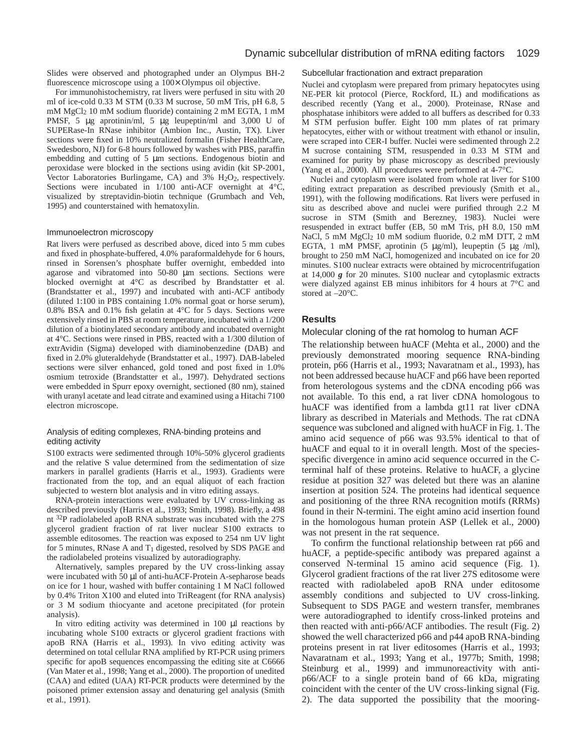Slides were observed and photographed under an Olympus BH-2 fluorescence microscope using a 100× Olympus oil objective.

For immunohistochemistry, rat livers were perfused in situ with 20 ml of ice-cold 0.33 M STM (0.33 M sucrose, 50 mM Tris, pH 6.8, 5 mM MgCl2 10 mM sodium fluoride) containing 2 mM EGTA, 1 mM PMSF, 5  $\mu$ g aprotinin/ml, 5  $\mu$ g leupeptin/ml and 3,000 U of SUPERase-In RNase inhibitor (Ambion Inc., Austin, TX). Liver sections were fixed in 10% neutralized formalin (Fisher HealthCare, Swedesboro, NJ) for 6-8 hours followed by washes with PBS, paraffin embedding and cutting of 5  $\mu$ m sections. Endogenous biotin and peroxidase were blocked in the sections using avidin (kit SP-2001, Vector Laboratories Burlingame, CA) and 3% H<sub>2</sub>O<sub>2</sub>, respectively. Sections were incubated in 1/100 anti-ACF overnight at 4°C, visualized by streptavidin-biotin technique (Grumbach and Veh, 1995) and counterstained with hematoxylin.

#### Immunoelectron microscopy

Rat livers were perfused as described above, diced into 5 mm cubes and fixed in phosphate-buffered, 4.0% paraformaldehyde for 6 hours, rinsed in Sorensen's phosphate buffer overnight, embedded into agarose and vibratomed into 50-80 µm sections. Sections were blocked overnight at 4°C as described by Brandstatter et al. (Brandstatter et al., 1997) and incubated with anti-ACF antibody (diluted 1:100 in PBS containing 1.0% normal goat or horse serum), 0.8% BSA and 0.1% fish gelatin at 4°C for 5 days. Sections were extensively rinsed in PBS at room temperature, incubated with a 1/200 dilution of a biotinylated secondary antibody and incubated overnight at 4°C. Sections were rinsed in PBS, reacted with a 1/300 dilution of extrAvidin (Sigma) developed with diaminobenzedine (DAB) and fixed in 2.0% gluteraldehyde (Brandstatter et al., 1997). DAB-labeled sections were silver enhanced, gold toned and post fixed in 1.0% osmium tetroxide (Brandstatter et al., 1997). Dehydrated sections were embedded in Spurr epoxy overnight, sectioned (80 nm), stained with uranyl acetate and lead citrate and examined using a Hitachi 7100 electron microscope.

#### Analysis of editing complexes, RNA-binding proteins and editing activity

S100 extracts were sedimented through 10%-50% glycerol gradients and the relative S value determined from the sedimentation of size markers in parallel gradients (Harris et al., 1993). Gradients were fractionated from the top, and an equal aliquot of each fraction subjected to western blot analysis and in vitro editing assays.

RNA-protein interactions were evaluated by UV cross-linking as described previously (Harris et al., 1993; Smith, 1998). Briefly, a 498 nt 32P radiolabeled apoB RNA substrate was incubated with the 27S glycerol gradient fraction of rat liver nuclear S100 extracts to assemble editosomes. The reaction was exposed to 254 nm UV light for 5 minutes, RNase A and  $T_1$  digested, resolved by SDS PAGE and the radiolabeled proteins visualized by autoradiography.

Alternatively, samples prepared by the UV cross-linking assay were incubated with 50 µl of anti-huACF-Protein A-sepharose beads on ice for 1 hour, washed with buffer containing 1 M NaCl followed by 0.4% Triton X100 and eluted into TriReagent (for RNA analysis) or 3 M sodium thiocyante and acetone precipitated (for protein analysis).

In vitro editing activity was determined in 100 µl reactions by incubating whole S100 extracts or glycerol gradient fractions with apoB RNA (Harris et al., 1993). In vivo editing activity was determined on total cellular RNA amplified by RT-PCR using primers specific for apoB sequences encompassing the editing site at C6666 (Van Mater et al., 1998; Yang et al., 2000). The proportion of unedited (CAA) and edited (UAA) RT-PCR products were determined by the poisoned primer extension assay and denaturing gel analysis (Smith et al., 1991).

#### Subcellular fractionation and extract preparation

Nuclei and cytoplasm were prepared from primary hepatocytes using NE-PER kit protocol (Pierce, Rockford, IL) and modifications as described recently (Yang et al., 2000). Proteinase, RNase and phosphatase inhibitors were added to all buffers as described for 0.33 M STM perfusion buffer. Eight 100 mm plates of rat primary hepatocytes, either with or without treatment with ethanol or insulin, were scraped into CER-I buffer. Nuclei were sedimented through 2.2 M sucrose containing STM, resuspended in 0.33 M STM and examined for purity by phase microscopy as described previously (Yang et al., 2000). All procedures were performed at 4-7°C.

Nuclei and cytoplasm were isolated from whole rat liver for S100 editing extract preparation as described previously (Smith et al., 1991), with the following modifications. Rat livers were perfused in situ as described above and nuclei were purified through 2.2 M sucrose in STM (Smith and Berezney, 1983). Nuclei were resuspended in extract buffer (EB, 50 mM Tris, pH 8.0, 150 mM NaCl, 5 mM MgCl2 10 mM sodium fluoride, 0.2 mM DTT, 2 mM EGTA, 1 mM PMSF, aprotinin (5 µg/ml), leupeptin (5 µg /ml), brought to 250 mM NaCl, homogenized and incubated on ice for 20 minutes. S100 nuclear extracts were obtained by microcentrifugation at 14,000 *g* for 20 minutes. S100 nuclear and cytoplasmic extracts were dialyzed against EB minus inhibitors for 4 hours at 7°C and stored at –20°C.

## **Results**

## Molecular cloning of the rat homolog to human ACF

The relationship between huACF (Mehta et al., 2000) and the previously demonstrated mooring sequence RNA-binding protein, p66 (Harris et al., 1993; Navaratnam et al., 1993), has not been addressed because huACF and p66 have been reported from heterologous systems and the cDNA encoding p66 was not available. To this end, a rat liver cDNA homologous to huACF was identified from a lambda gt11 rat liver cDNA library as described in Materials and Methods. The rat cDNA sequence was subcloned and aligned with huACF in Fig. 1. The amino acid sequence of p66 was 93.5% identical to that of huACF and equal to it in overall length. Most of the speciesspecific divergence in amino acid sequence occurred in the Cterminal half of these proteins. Relative to huACF, a glycine residue at position 327 was deleted but there was an alanine insertion at position 524. The proteins had identical sequence and positioning of the three RNA recognition motifs (RRMs) found in their N-termini. The eight amino acid insertion found in the homologous human protein ASP (Lellek et al., 2000) was not present in the rat sequence.

To confirm the functional relationship between rat p66 and huACF, a peptide-specific antibody was prepared against a conserved N-terminal 15 amino acid sequence (Fig. 1). Glycerol gradient fractions of the rat liver 27S editosome were reacted with radiolabeled apoB RNA under editosome assembly conditions and subjected to UV cross-linking. Subsequent to SDS PAGE and western transfer, membranes were autoradiographed to identify cross-linked proteins and then reacted with anti-p66/ACF antibodies. The result (Fig. 2) showed the well characterized p66 and p44 apoB RNA-binding proteins present in rat liver editosomes (Harris et al., 1993; Navaratnam et al., 1993; Yang et al., 1977b; Smith, 1998; Steinburg et al., 1999) and immunoreactivity with antip66/ACF to a single protein band of 66 kDa, migrating coincident with the center of the UV cross-linking signal (Fig. 2). The data supported the possibility that the mooring-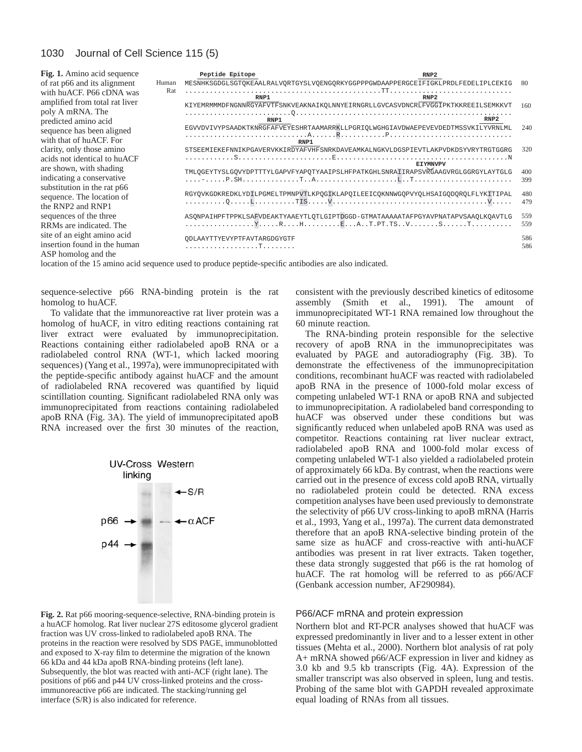| Fig. 1. Amino acid sequence                                                        | Peptide Epitope                    | RNP2                                                                                                                                                                                                                                                                                                                                    |            |
|------------------------------------------------------------------------------------|------------------------------------|-----------------------------------------------------------------------------------------------------------------------------------------------------------------------------------------------------------------------------------------------------------------------------------------------------------------------------------------|------------|
| of rat p66 and its alignment<br>Human                                              |                                    | MESNHKSGDGLSGTQKEAALRALVQRTGYSLVQENGQRKYGGPPPGWDAAPPERGCEIFIGKLPRDLFEDELIPLCEKIG                                                                                                                                                                                                                                                        | -80        |
| Rat<br>with huACF. P66 cDNA was<br>amplified from total rat liver                  | RNP1                               | RNP2                                                                                                                                                                                                                                                                                                                                    |            |
| poly A mRNA. The                                                                   |                                    | KIYEMRMMMDFNGNNRGYAFVTFSNKVEAKNAIKOLNNYEIRNGRLLGVCASVDNCRLFVGGIPKTKKREEILSEMKKVT                                                                                                                                                                                                                                                        | 160        |
| predicted amino acid                                                               | RNP1                               | RNP <sub>2</sub>                                                                                                                                                                                                                                                                                                                        |            |
| sequence has been aligned<br>with that of huACF. For                               | RNP1                               | ${\tt EGVVDVIVYPSAADKTKN}\overline{\tt RGFAFVEYESHRTAAMARRKLLPGRIQLWGHGIAVDWAEPEVEVDEDTMSSVKILYVRNLMLWLAL}$                                                                                                                                                                                                                             | 240        |
| clarity, only those amino                                                          |                                    | STSEEMIEKEFNNIKPGAVERVKKIRDYAFVHFSNRKDAVEAMKALNGKVLDGSPIEVTLAKPVDKDSYVRYTRGTGGRG                                                                                                                                                                                                                                                        | 320        |
| acids not identical to huACF                                                       |                                    | <b>EIYMNVPV</b>                                                                                                                                                                                                                                                                                                                         |            |
| are shown, with shading<br>indicating a conservative                               |                                    | TMLQGEYTYSLGQVYDPTTTYLGAPVFYAPQTYAAIPSLHFPATKGHLSNRAIIRAPSVRGAAGVRGLGGRGYLAYTGLG                                                                                                                                                                                                                                                        | 400<br>399 |
| substitution in the rat p66<br>sequence. The location of<br>the RNP2 and RNP1      |                                    | RGYOVKGDKREDKLYDILPGMELTPMNPVTLKPQGIKLAPQILEEICQKNNWGQPVYQLHSAIGQDQRQLFLYKITIPAL                                                                                                                                                                                                                                                        | 480<br>479 |
| sequences of the three<br>RRMs are indicated. The                                  |                                    | ASONPAIHPFTPPKLSAFVDEAKTYAAEYTLOTLGIPTDGGD-GTMATAAAATAFPGYAVPNATAPVSAAOLKOAVTLG<br>$\ldots \ldots \ldots \ldots \mathbb{Y} \ldots \mathbb{R} \ldots \mathbb{H} \ldots \ldots \mathbb{E} \ldots \mathbb{A} \ldots \mathbb{P} \mathbb{T} \ldots \mathbb{S} \ldots \ldots \mathbb{S} \ldots \ldots \mathbb{S} \ldots \ldots \ldots \ldots$ | 559<br>559 |
| site of an eight amino acid<br>insertion found in the human<br>ASP homolog and the | QDLAAYTTYEVYPTFAVTARGDGYGTF<br>. T |                                                                                                                                                                                                                                                                                                                                         | 586<br>586 |

location of the 15 amino acid sequence used to produce peptide-specific antibodies are also indicated.

sequence-selective p66 RNA-binding protein is the rat homolog to huACF.

To validate that the immunoreactive rat liver protein was a homolog of huACF, in vitro editing reactions containing rat liver extract were evaluated by immunoprecipitation. Reactions containing either radiolabeled apoB RNA or a radiolabeled control RNA (WT-1, which lacked mooring sequences) (Yang et al., 1997a), were immunoprecipitated with the peptide-specific antibody against huACF and the amount of radiolabeled RNA recovered was quantified by liquid scintillation counting. Significant radiolabeled RNA only was immunoprecipitated from reactions containing radiolabeled apoB RNA (Fig. 3A). The yield of immunoprecipitated apoB RNA increased over the first 30 minutes of the reaction,



**Fig. 2.** Rat p66 mooring-sequence-selective, RNA-binding protein is a huACF homolog. Rat liver nuclear 27S editosome glycerol gradient fraction was UV cross-linked to radiolabeled apoB RNA. The proteins in the reaction were resolved by SDS PAGE, immunoblotted and exposed to X-ray film to determine the migration of the known 66 kDa and 44 kDa apoB RNA-binding proteins (left lane). Subsequently, the blot was reacted with anti-ACF (right lane). The positions of p66 and p44 UV cross-linked proteins and the crossimmunoreactive p66 are indicated. The stacking/running gel interface (S/R) is also indicated for reference.

consistent with the previously described kinetics of editosome assembly (Smith et al., 1991). The amount of immunoprecipitated WT-1 RNA remained low throughout the 60 minute reaction.

The RNA-binding protein responsible for the selective recovery of apoB RNA in the immunoprecipitates was evaluated by PAGE and autoradiography (Fig. 3B). To demonstrate the effectiveness of the immunoprecipitation conditions, recombinant huACF was reacted with radiolabeled apoB RNA in the presence of 1000-fold molar excess of competing unlabeled WT-1 RNA or apoB RNA and subjected to immunoprecipitation. A radiolabeled band corresponding to huACF was observed under these conditions but was significantly reduced when unlabeled apoB RNA was used as competitor. Reactions containing rat liver nuclear extract, radiolabeled apoB RNA and 1000-fold molar excess of competing unlabeled WT-1 also yielded a radiolabeled protein of approximately 66 kDa. By contrast, when the reactions were carried out in the presence of excess cold apoB RNA, virtually no radiolabeled protein could be detected. RNA excess competition analyses have been used previously to demonstrate the selectivity of p66 UV cross-linking to apoB mRNA (Harris et al., 1993, Yang et al., 1997a). The current data demonstrated therefore that an apoB RNA-selective binding protein of the same size as huACF and cross-reactive with anti-huACF antibodies was present in rat liver extracts. Taken together, these data strongly suggested that p66 is the rat homolog of huACF. The rat homolog will be referred to as p66/ACF (Genbank accession number, AF290984).

#### P66/ACF mRNA and protein expression

Northern blot and RT-PCR analyses showed that huACF was expressed predominantly in liver and to a lesser extent in other tissues (Mehta et al., 2000). Northern blot analysis of rat poly A+ mRNA showed p66/ACF expression in liver and kidney as 3.0 kb and 9.5 kb transcripts (Fig. 4A). Expression of the smaller transcript was also observed in spleen, lung and testis. Probing of the same blot with GAPDH revealed approximate equal loading of RNAs from all tissues.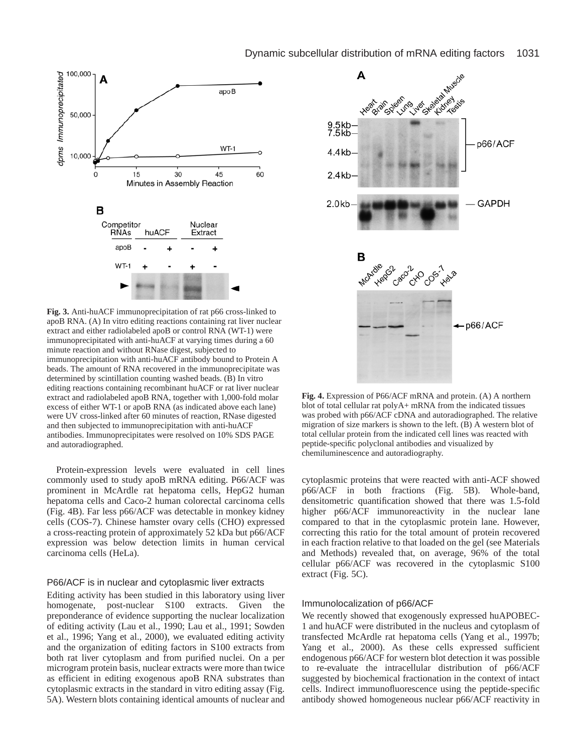

**Fig. 3.** Anti-huACF immunoprecipitation of rat p66 cross-linked to apoB RNA. (A) In vitro editing reactions containing rat liver nuclear extract and either radiolabeled apoB or control RNA (WT-1) were immunoprecipitated with anti-huACF at varying times during a 60 minute reaction and without RNase digest, subjected to immunoprecipitation with anti-huACF antibody bound to Protein A beads. The amount of RNA recovered in the immunoprecipitate was determined by scintillation counting washed beads. (B) In vitro editing reactions containing recombinant huACF or rat liver nuclear extract and radiolabeled apoB RNA, together with 1,000-fold molar excess of either WT-1 or apoB RNA (as indicated above each lane) were UV cross-linked after 60 minutes of reaction, RNase digested and then subjected to immunoprecipitation with anti-huACF antibodies. Immunoprecipitates were resolved on 10% SDS PAGE and autoradiographed.

Protein-expression levels were evaluated in cell lines commonly used to study apoB mRNA editing. P66/ACF was prominent in McArdle rat hepatoma cells, HepG2 human hepatoma cells and Caco-2 human colorectal carcinoma cells (Fig. 4B). Far less p66/ACF was detectable in monkey kidney cells (COS-7). Chinese hamster ovary cells (CHO) expressed a cross-reacting protein of approximately 52 kDa but p66/ACF expression was below detection limits in human cervical carcinoma cells (HeLa).

#### P66/ACF is in nuclear and cytoplasmic liver extracts

Editing activity has been studied in this laboratory using liver homogenate, post-nuclear S100 extracts. Given the preponderance of evidence supporting the nuclear localization of editing activity (Lau et al., 1990; Lau et al., 1991; Sowden et al., 1996; Yang et al., 2000), we evaluated editing activity and the organization of editing factors in S100 extracts from both rat liver cytoplasm and from purified nuclei. On a per microgram protein basis, nuclear extracts were more than twice as efficient in editing exogenous apoB RNA substrates than cytoplasmic extracts in the standard in vitro editing assay (Fig. 5A). Western blots containing identical amounts of nuclear and



**Fig. 4.** Expression of P66/ACF mRNA and protein. (A) A northern blot of total cellular rat polyA+ mRNA from the indicated tissues was probed with p66/ACF cDNA and autoradiographed. The relative migration of size markers is shown to the left. (B) A western blot of total cellular protein from the indicated cell lines was reacted with peptide-specific polyclonal antibodies and visualized by chemiluminescence and autoradiography.

cytoplasmic proteins that were reacted with anti-ACF showed p66/ACF in both fractions (Fig. 5B). Whole-band, densitometric quantification showed that there was 1.5-fold higher p66/ACF immunoreactivity in the nuclear lane compared to that in the cytoplasmic protein lane. However, correcting this ratio for the total amount of protein recovered in each fraction relative to that loaded on the gel (see Materials and Methods) revealed that, on average, 96% of the total cellular p66/ACF was recovered in the cytoplasmic S100 extract (Fig. 5C).

#### Immunolocalization of p66/ACF

We recently showed that exogenously expressed huAPOBEC-1 and huACF were distributed in the nucleus and cytoplasm of transfected McArdle rat hepatoma cells (Yang et al., 1997b; Yang et al., 2000). As these cells expressed sufficient endogenous p66/ACF for western blot detection it was possible to re-evaluate the intracellular distribution of p66/ACF suggested by biochemical fractionation in the context of intact cells. Indirect immunofluorescence using the peptide-specific antibody showed homogeneous nuclear p66/ACF reactivity in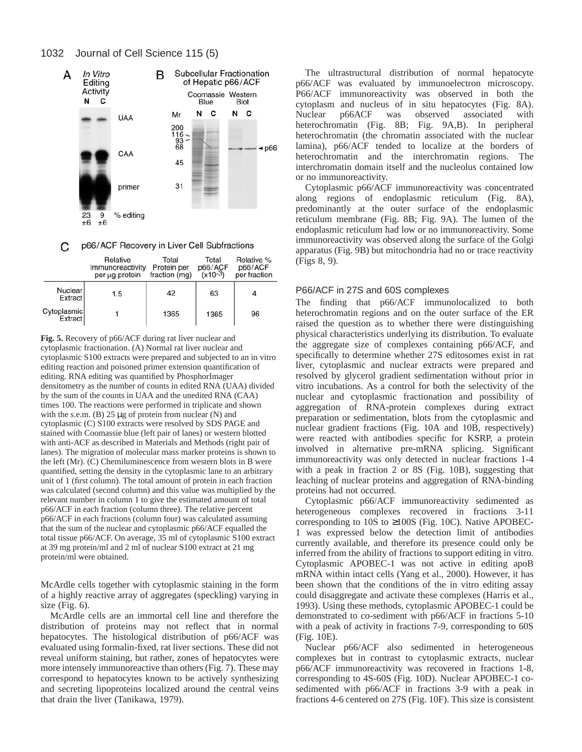

p66/ACF Recovery in Liver Cell Subfractions С

|                           | Relative<br>Immunoreactivity<br>per ug protein | Total<br>Protein per<br>fraction (mg) | Total<br>p66/ACF<br>(x10-3) | Relative %<br>p66/ACF<br>per fraction |
|---------------------------|------------------------------------------------|---------------------------------------|-----------------------------|---------------------------------------|
| Nuclear<br><b>Extract</b> | 1.5                                            | 42                                    | 63                          | 4                                     |
| Cytoplasmic               |                                                | 1365                                  | 1365                        | 96                                    |

**Fig. 5.** Recovery of p66/ACF during rat liver nuclear and cytoplasmic fractionation. (A) Normal rat liver nuclear and cytoplasmic S100 extracts were prepared and subjected to an in vitro editing reaction and poisoned primer extension quantification of editing. RNA editing was quantified by PhosphorImager densitometry as the number of counts in edited RNA (UAA) divided by the sum of the counts in UAA and the unedited RNA (CAA) times 100. The reactions were performed in triplicate and shown with the s.e.m.  $(B)$  25  $\mu$ g of protein from nuclear  $(N)$  and cytoplasmic (C) S100 extracts were resolved by SDS PAGE and stained with Coomassie blue (left pair of lanes) or western blotted with anti-ACF as described in Materials and Methods (right pair of lanes). The migration of molecular mass marker proteins is shown to the left (Mr). (C) Chemiluminescence from western blots in B were quantified, setting the density in the cytoplasmic lane to an arbitrary unit of 1 (first column). The total amount of protein in each fraction was calculated (second column) and this value was multiplied by the relevant number in column 1 to give the estimated amount of total p66/ACF in each fraction (column three). The relative percent p66/ACF in each fractions (column four) was calculated assuming that the sum of the nuclear and cytoplasmic p66/ACF equalled the total tissue p66/ACF. On average, 35 ml of cytoplasmic S100 extract at 39 mg protein/ml and 2 ml of nuclear S100 extract at 21 mg protein/ml were obtained.

McArdle cells together with cytoplasmic staining in the form of a highly reactive array of aggregates (speckling) varying in size (Fig. 6).

McArdle cells are an immortal cell line and therefore the distribution of proteins may not reflect that in normal hepatocytes. The histological distribution of p66/ACF was evaluated using formalin-fixed, rat liver sections. These did not reveal uniform staining, but rather, zones of hepatocytes were more intensely immunoreactive than others (Fig. 7). These may correspond to hepatocytes known to be actively synthesizing and secreting lipoproteins localized around the central veins that drain the liver (Tanikawa, 1979).

The ultrastructural distribution of normal hepatocyte p66/ACF was evaluated by immunoelectron microscopy. P66/ACF immunoreactivity was observed in both the cytoplasm and nucleus of in situ hepatocytes (Fig. 8A). Nuclear p66ACF was observed associated with heterochromatin (Fig. 8B; Fig. 9A,B). In peripheral heterochromatin (the chromatin associated with the nuclear lamina), p66/ACF tended to localize at the borders of heterochromatin and the interchromatin regions. The interchromatin domain itself and the nucleolus contained low or no immunoreactivity.

Cytoplasmic p66/ACF immunoreactivity was concentrated along regions of endoplasmic reticulum (Fig. 8A), predominantly at the outer surface of the endoplasmic reticulum membrane (Fig. 8B; Fig. 9A). The lumen of the endoplasmic reticulum had low or no immunoreactivity. Some immunoreactivity was observed along the surface of the Golgi apparatus (Fig. 9B) but mitochondria had no or trace reactivity (Figs 8, 9).

## P66/ACF in 27S and 60S complexes

The finding that p66/ACF immunolocalized to both heterochromatin regions and on the outer surface of the ER raised the question as to whether there were distinguishing physical characteristics underlying its distribution. To evaluate the aggregate size of complexes containing p66/ACF, and specifically to determine whether 27S editosomes exist in rat liver, cytoplasmic and nuclear extracts were prepared and resolved by glycerol gradient sedimentation without prior in vitro incubations. As a control for both the selectivity of the nuclear and cytoplasmic fractionation and possibility of aggregation of RNA-protein complexes during extract preparation or sedimentation, blots from the cytoplasmic and nuclear gradient fractions (Fig. 10A and 10B, respectively) were reacted with antibodies specific for KSRP, a protein involved in alternative pre-mRNA splicing. Significant immunoreactivity was only detected in nuclear fractions 1-4 with a peak in fraction 2 or 8S (Fig. 10B), suggesting that leaching of nuclear proteins and aggregation of RNA-binding proteins had not occurred.

Cytoplasmic p66/ACF immunoreactivity sedimented as heterogeneous complexes recovered in fractions 3-11 corresponding to 10S to ≥100S (Fig. 10C). Native APOBEC-1 was expressed below the detection limit of antibodies currently available, and therefore its presence could only be inferred from the ability of fractions to support editing in vitro. Cytoplasmic APOBEC-1 was not active in editing apoB mRNA within intact cells (Yang et al., 2000). However, it has been shown that the conditions of the in vitro editing assay could disaggregate and activate these complexes (Harris et al., 1993). Using these methods, cytoplasmic APOBEC-1 could be demonstrated to co-sediment with p66/ACF in fractions 5-10 with a peak of activity in fractions 7-9, corresponding to 60S (Fig. 10E).

Nuclear p66/ACF also sedimented in heterogeneous complexes but in contrast to cytoplasmic extracts, nuclear p66/ACF immunoreactivity was recovered in fractions 1-8, corresponding to 4S-60S (Fig. 10D). Nuclear APOBEC-1 cosedimented with p66/ACF in fractions 3-9 with a peak in fractions 4-6 centered on 27S (Fig. 10F). This size is consistent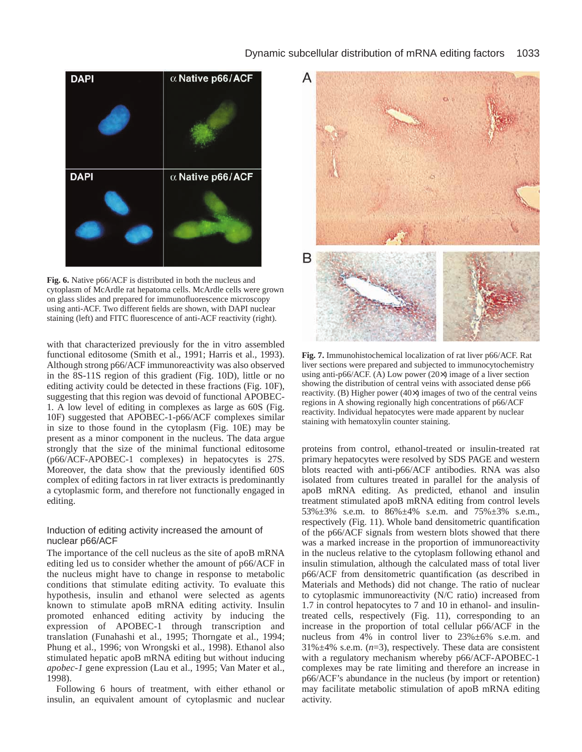# Dynamic subcellular distribution of mRNA editing factors 1033



**Fig. 6.** Native p66/ACF is distributed in both the nucleus and cytoplasm of McArdle rat hepatoma cells. McArdle cells were grown on glass slides and prepared for immunofluorescence microscopy using anti-ACF. Two different fields are shown, with DAPI nuclear staining (left) and FITC fluorescence of anti-ACF reactivity (right).

with that characterized previously for the in vitro assembled functional editosome (Smith et al., 1991; Harris et al., 1993). Although strong p66/ACF immunoreactivity was also observed in the 8S-11S region of this gradient (Fig. 10D), little or no editing activity could be detected in these fractions (Fig. 10F), suggesting that this region was devoid of functional APOBEC-1. A low level of editing in complexes as large as 60S (Fig. 10F) suggested that APOBEC-1-p66/ACF complexes similar in size to those found in the cytoplasm (Fig. 10E) may be present as a minor component in the nucleus. The data argue strongly that the size of the minimal functional editosome (p66/ACF-APOBEC-1 complexes) in hepatocytes is 27S. Moreover, the data show that the previously identified 60S complex of editing factors in rat liver extracts is predominantly a cytoplasmic form, and therefore not functionally engaged in editing.

#### Induction of editing activity increased the amount of nuclear p66/ACF

The importance of the cell nucleus as the site of apoB mRNA editing led us to consider whether the amount of p66/ACF in the nucleus might have to change in response to metabolic conditions that stimulate editing activity. To evaluate this hypothesis, insulin and ethanol were selected as agents known to stimulate apoB mRNA editing activity. Insulin promoted enhanced editing activity by inducing the expression of APOBEC-1 through transcription and translation (Funahashi et al., 1995; Thorngate et al., 1994; Phung et al., 1996; von Wrongski et al., 1998). Ethanol also stimulated hepatic apoB mRNA editing but without inducing *apobec-1* gene expression (Lau et al., 1995; Van Mater et al., 1998).

Following 6 hours of treatment, with either ethanol or insulin, an equivalent amount of cytoplasmic and nuclear



**Fig. 7.** Immunohistochemical localization of rat liver p66/ACF. Rat liver sections were prepared and subjected to immunocytochemistry using anti-p66/ACF. (A) Low power (20×) image of a liver section showing the distribution of central veins with associated dense p66 reactivity. (B) Higher power (40×) images of two of the central veins regions in A showing regionally high concentrations of p66/ACF reactivity. Individual hepatocytes were made apparent by nuclear staining with hematoxylin counter staining.

proteins from control, ethanol-treated or insulin-treated rat primary hepatocytes were resolved by SDS PAGE and western blots reacted with anti-p66/ACF antibodies. RNA was also isolated from cultures treated in parallel for the analysis of apoB mRNA editing. As predicted, ethanol and insulin treatment stimulated apoB mRNA editing from control levels 53%±3% s.e.m. to 86%±4% s.e.m. and 75%±3% s.e.m., respectively (Fig. 11). Whole band densitometric quantification of the p66/ACF signals from western blots showed that there was a marked increase in the proportion of immunoreactivity in the nucleus relative to the cytoplasm following ethanol and insulin stimulation, although the calculated mass of total liver p66/ACF from densitometric quantification (as described in Materials and Methods) did not change. The ratio of nuclear to cytoplasmic immunoreactivity (N/C ratio) increased from 1.7 in control hepatocytes to 7 and 10 in ethanol- and insulintreated cells, respectively (Fig. 11), corresponding to an increase in the proportion of total cellular p66/ACF in the nucleus from 4% in control liver to 23%±6% s.e.m. and 31%±4% s.e.m. (*n*=3), respectively. These data are consistent with a regulatory mechanism whereby p66/ACF-APOBEC-1 complexes may be rate limiting and therefore an increase in p66/ACF's abundance in the nucleus (by import or retention) may facilitate metabolic stimulation of apoB mRNA editing activity.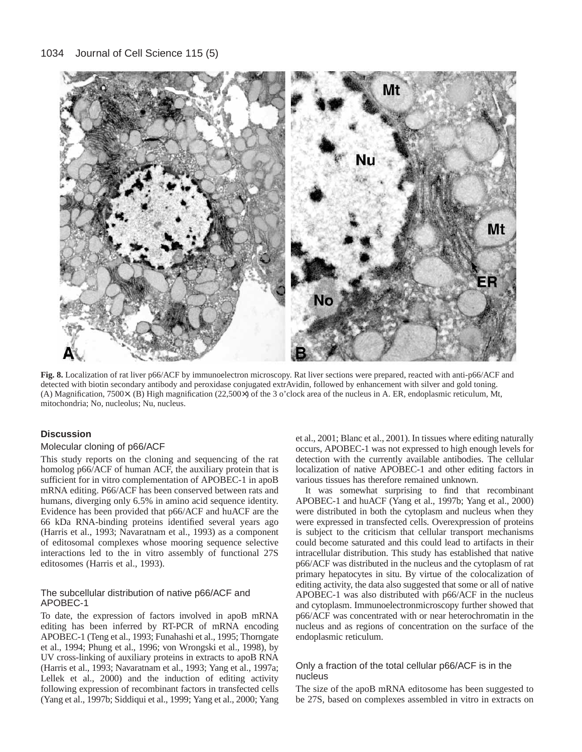

**Fig. 8.** Localization of rat liver p66/ACF by immunoelectron microscopy. Rat liver sections were prepared, reacted with anti-p66/ACF and detected with biotin secondary antibody and peroxidase conjugated extrAvidin, followed by enhancement with silver and gold toning. (A) Magnification, 7500×. (B) High magnification (22,500×) of the 3 o'clock area of the nucleus in A. ER, endoplasmic reticulum, Mt, mitochondria; No, nucleolus; Nu, nucleus.

# **Discussion**

# Molecular cloning of p66/ACF

This study reports on the cloning and sequencing of the rat homolog p66/ACF of human ACF, the auxiliary protein that is sufficient for in vitro complementation of APOBEC-1 in apoB mRNA editing. P66/ACF has been conserved between rats and humans, diverging only 6.5% in amino acid sequence identity. Evidence has been provided that p66/ACF and huACF are the 66 kDa RNA-binding proteins identified several years ago (Harris et al., 1993; Navaratnam et al., 1993) as a component of editosomal complexes whose mooring sequence selective interactions led to the in vitro assembly of functional 27S editosomes (Harris et al., 1993).

# The subcellular distribution of native p66/ACF and APOBEC-1

To date, the expression of factors involved in apoB mRNA editing has been inferred by RT-PCR of mRNA encoding APOBEC-1 (Teng et al., 1993; Funahashi et al., 1995; Thorngate et al., 1994; Phung et al., 1996; von Wrongski et al., 1998), by UV cross-linking of auxiliary proteins in extracts to apoB RNA (Harris et al., 1993; Navaratnam et al., 1993; Yang et al., 1997a; Lellek et al., 2000) and the induction of editing activity following expression of recombinant factors in transfected cells (Yang et al., 1997b; Siddiqui et al., 1999; Yang et al., 2000; Yang

et al., 2001; Blanc et al., 2001). In tissues where editing naturally occurs, APOBEC-1 was not expressed to high enough levels for detection with the currently available antibodies. The cellular localization of native APOBEC-1 and other editing factors in various tissues has therefore remained unknown.

It was somewhat surprising to find that recombinant APOBEC-1 and huACF (Yang et al., 1997b; Yang et al., 2000) were distributed in both the cytoplasm and nucleus when they were expressed in transfected cells. Overexpression of proteins is subject to the criticism that cellular transport mechanisms could become saturated and this could lead to artifacts in their intracellular distribution. This study has established that native p66/ACF was distributed in the nucleus and the cytoplasm of rat primary hepatocytes in situ. By virtue of the colocalization of editing activity, the data also suggested that some or all of native APOBEC-1 was also distributed with p66/ACF in the nucleus and cytoplasm. Immunoelectronmicroscopy further showed that p66/ACF was concentrated with or near heterochromatin in the nucleus and as regions of concentration on the surface of the endoplasmic reticulum.

# Only a fraction of the total cellular p66/ACF is in the nucleus

The size of the apoB mRNA editosome has been suggested to be 27S, based on complexes assembled in vitro in extracts on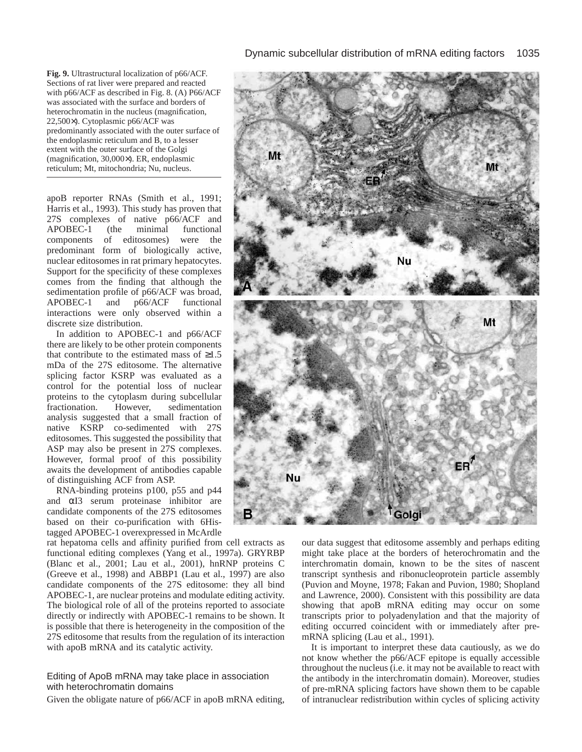**Fig. 9.** Ultrastructural localization of p66/ACF. Sections of rat liver were prepared and reacted with p66/ACF as described in Fig. 8. (A) P66/ACF was associated with the surface and borders of heterochromatin in the nucleus (magnification, 22,500×). Cytoplasmic p66/ACF was predominantly associated with the outer surface of the endoplasmic reticulum and B, to a lesser extent with the outer surface of the Golgi (magnification, 30,000×). ER, endoplasmic reticulum; Mt, mitochondria; Nu, nucleus.

apoB reporter RNAs (Smith et al., 1991; Harris et al., 1993). This study has proven that 27S complexes of native p66/ACF and APOBEC-1 (the minimal functional components of editosomes) were the predominant form of biologically active, nuclear editosomes in rat primary hepatocytes. Support for the specificity of these complexes comes from the finding that although the sedimentation profile of p66/ACF was broad, APOBEC-1 and p66/ACF functional interactions were only observed within a discrete size distribution.

In addition to APOBEC-1 and p66/ACF there are likely to be other protein components that contribute to the estimated mass of  $\geq 1.5$ mDa of the 27S editosome. The alternative splicing factor KSRP was evaluated as a control for the potential loss of nuclear proteins to the cytoplasm during subcellular<br>fractionation. However, sedimentation fractionation. However, sedimentation analysis suggested that a small fraction of native KSRP co-sedimented with 27S editosomes. This suggested the possibility that ASP may also be present in 27S complexes. However, formal proof of this possibility awaits the development of antibodies capable of distinguishing ACF from ASP.

RNA-binding proteins p100, p55 and p44 and αI3 serum proteinase inhibitor are candidate components of the 27S editosomes based on their co-purification with 6Histagged APOBEC-1 overexpressed in McArdle

rat hepatoma cells and affinity purified from cell extracts as functional editing complexes (Yang et al., 1997a). GRYRBP (Blanc et al., 2001; Lau et al., 2001), hnRNP proteins C (Greeve et al., 1998) and ABBP1 (Lau et al., 1997) are also candidate components of the 27S editosome: they all bind APOBEC-1, are nuclear proteins and modulate editing activity. The biological role of all of the proteins reported to associate directly or indirectly with APOBEC-1 remains to be shown. It is possible that there is heterogeneity in the composition of the 27S editosome that results from the regulation of its interaction with apoB mRNA and its catalytic activity.

# Editing of ApoB mRNA may take place in association with heterochromatin domains

Given the obligate nature of p66/ACF in apoB mRNA editing,



our data suggest that editosome assembly and perhaps editing might take place at the borders of heterochromatin and the interchromatin domain, known to be the sites of nascent transcript synthesis and ribonucleoprotein particle assembly (Puvion and Moyne, 1978; Fakan and Puvion, 1980; Shopland and Lawrence, 2000). Consistent with this possibility are data showing that apoB mRNA editing may occur on some transcripts prior to polyadenylation and that the majority of editing occurred coincident with or immediately after premRNA splicing (Lau et al., 1991).

It is important to interpret these data cautiously, as we do not know whether the p66/ACF epitope is equally accessible throughout the nucleus (i.e. it may not be available to react with the antibody in the interchromatin domain). Moreover, studies of pre-mRNA splicing factors have shown them to be capable of intranuclear redistribution within cycles of splicing activity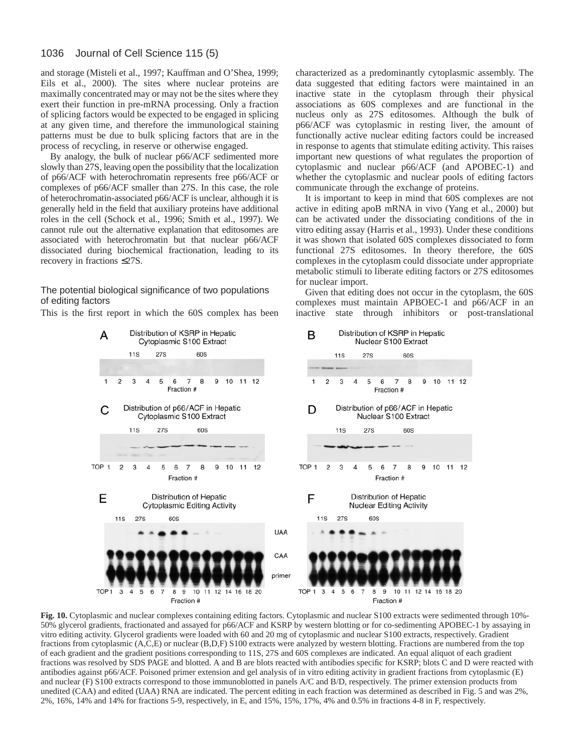and storage (Misteli et al., 1997; Kauffman and O'Shea, 1999; Eils et al., 2000). The sites where nuclear proteins are maximally concentrated may or may not be the sites where they exert their function in pre-mRNA processing. Only a fraction of splicing factors would be expected to be engaged in splicing at any given time, and therefore the immunological staining patterns must be due to bulk splicing factors that are in the process of recycling, in reserve or otherwise engaged.

By analogy, the bulk of nuclear p66/ACF sedimented more slowly than 27S, leaving open the possibility that the localization of p66/ACF with heterochromatin represents free p66/ACF or complexes of p66/ACF smaller than 27S. In this case, the role of heterochromatin-associated p66/ACF is unclear, although it is generally held in the field that auxiliary proteins have additional roles in the cell (Schock et al., 1996; Smith et al., 1997). We cannot rule out the alternative explanation that editosomes are associated with heterochromatin but that nuclear p66/ACF dissociated during biochemical fractionation, leading to its recovery in fractions ≤27S.

The potential biological significance of two populations of editing factors

This is the first report in which the 60S complex has been

characterized as a predominantly cytoplasmic assembly. The data suggested that editing factors were maintained in an inactive state in the cytoplasm through their physical associations as 60S complexes and are functional in the nucleus only as 27S editosomes. Although the bulk of p66/ACF was cytoplasmic in resting liver, the amount of functionally active nuclear editing factors could be increased in response to agents that stimulate editing activity. This raises important new questions of what regulates the proportion of cytoplasmic and nuclear p66/ACF (and APOBEC-1) and whether the cytoplasmic and nuclear pools of editing factors communicate through the exchange of proteins.

It is important to keep in mind that 60S complexes are not active in editing apoB mRNA in vivo (Yang et al., 2000) but can be activated under the dissociating conditions of the in vitro editing assay (Harris et al., 1993). Under these conditions it was shown that isolated 60S complexes dissociated to form functional 27S editosomes. In theory therefore, the 60S complexes in the cytoplasm could dissociate under appropriate metabolic stimuli to liberate editing factors or 27S editosomes for nuclear import.

Given that editing does not occur in the cytoplasm, the 60S complexes must maintain APBOEC-1 and p66/ACF in an inactive state through inhibitors or post-translational



Fig. 10. Cytoplasmic and nuclear complexes containing editing factors. Cytoplasmic and nuclear S100 extracts were sedimented through 10%-50% glycerol gradients, fractionated and assayed for p66/ACF and KSRP by western blotting or for co-sedimenting APOBEC-1 by assaying in vitro editing activity. Glycerol gradients were loaded with 60 and 20 mg of cytoplasmic and nuclear S100 extracts, respectively. Gradient fractions from cytoplasmic (A,C,E) or nuclear (B,D,F) S100 extracts were analyzed by western blotting. Fractions are numbered from the top of each gradient and the gradient positions corresponding to 11S, 27S and 60S complexes are indicated. An equal aliquot of each gradient fractions was resolved by SDS PAGE and blotted. A and B are blots reacted with antibodies specific for KSRP; blots C and D were reacted with antibodies against p66/ACF. Poisoned primer extension and gel analysis of in vitro editing activity in gradient fractions from cytoplasmic (E) and nuclear (F) S100 extracts correspond to those immunoblotted in panels A/C and B/D, respectively. The primer extension products from unedited (CAA) and edited (UAA) RNA are indicated. The percent editing in each fraction was determined as described in Fig. 5 and was 2%, 2%, 16%, 14% and 14% for fractions 5-9, respectively, in E, and 15%, 15%, 17%, 4% and 0.5% in fractions 4-8 in F, respectively.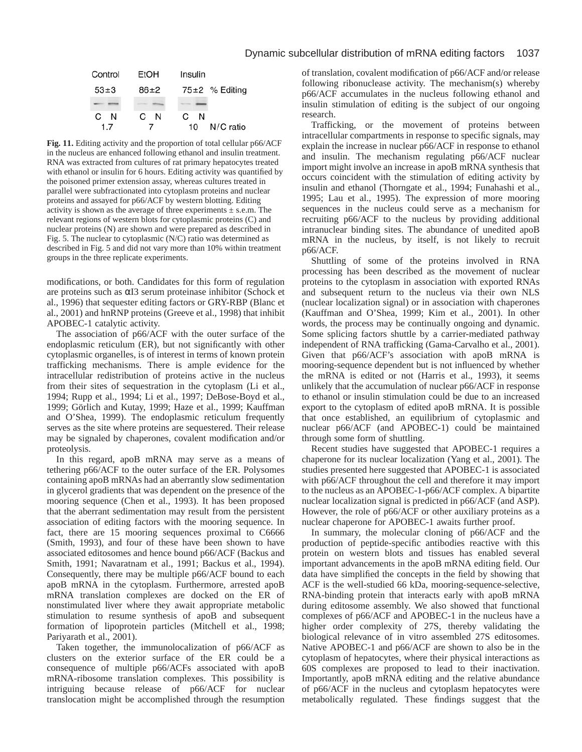# Dynamic subcellular distribution of mRNA editing factors 1037



**Fig. 11.** Editing activity and the proportion of total cellular p66/ACF in the nucleus are enhanced following ethanol and insulin treatment. RNA was extracted from cultures of rat primary hepatocytes treated with ethanol or insulin for 6 hours. Editing activity was quantified by the poisoned primer extension assay, whereas cultures treated in parallel were subfractionated into cytoplasm proteins and nuclear proteins and assayed for p66/ACF by western blotting. Editing activity is shown as the average of three experiments  $\pm$  s.e.m. The relevant regions of western blots for cytoplasmic proteins (C) and nuclear proteins (N) are shown and were prepared as described in Fig. 5. The nuclear to cytoplasmic (N/C) ratio was determined as described in Fig. 5 and did not vary more than 10% within treatment groups in the three replicate experiments.

modifications, or both. Candidates for this form of regulation are proteins such as αI3 serum proteinase inhibitor (Schock et al., 1996) that sequester editing factors or GRY-RBP (Blanc et al., 2001) and hnRNP proteins (Greeve et al., 1998) that inhibit APOBEC-1 catalytic activity.

The association of p66/ACF with the outer surface of the endoplasmic reticulum (ER), but not significantly with other cytoplasmic organelles, is of interest in terms of known protein trafficking mechanisms. There is ample evidence for the intracellular redistribution of proteins active in the nucleus from their sites of sequestration in the cytoplasm (Li et al., 1994; Rupp et al., 1994; Li et al., 1997; DeBose-Boyd et al., 1999; Görlich and Kutay, 1999; Haze et al., 1999; Kauffman and O'Shea, 1999). The endoplasmic reticulum frequently serves as the site where proteins are sequestered. Their release may be signaled by chaperones, covalent modification and/or proteolysis.

In this regard, apoB mRNA may serve as a means of tethering p66/ACF to the outer surface of the ER. Polysomes containing apoB mRNAs had an aberrantly slow sedimentation in glycerol gradients that was dependent on the presence of the mooring sequence (Chen et al., 1993). It has been proposed that the aberrant sedimentation may result from the persistent association of editing factors with the mooring sequence. In fact, there are 15 mooring sequences proximal to C6666 (Smith, 1993), and four of these have been shown to have associated editosomes and hence bound p66/ACF (Backus and Smith, 1991; Navaratnam et al., 1991; Backus et al., 1994). Consequently, there may be multiple p66/ACF bound to each apoB mRNA in the cytoplasm. Furthermore, arrested apoB mRNA translation complexes are docked on the ER of nonstimulated liver where they await appropriate metabolic stimulation to resume synthesis of apoB and subsequent formation of lipoprotein particles (Mitchell et al., 1998; Pariyarath et al., 2001).

Taken together, the immunolocalization of p66/ACF as clusters on the exterior surface of the ER could be a consequence of multiple p66/ACFs associated with apoB mRNA-ribosome translation complexes. This possibility is intriguing because release of p66/ACF for nuclear translocation might be accomplished through the resumption

of translation, covalent modification of p66/ACF and/or release following ribonuclease activity. The mechanism(s) whereby p66/ACF accumulates in the nucleus following ethanol and insulin stimulation of editing is the subject of our ongoing research.

Trafficking, or the movement of proteins between intracellular compartments in response to specific signals, may explain the increase in nuclear p66/ACF in response to ethanol and insulin. The mechanism regulating p66/ACF nuclear import might involve an increase in apoB mRNA synthesis that occurs coincident with the stimulation of editing activity by insulin and ethanol (Thorngate et al., 1994; Funahashi et al., 1995; Lau et al., 1995). The expression of more mooring sequences in the nucleus could serve as a mechanism for recruiting p66/ACF to the nucleus by providing additional intranuclear binding sites. The abundance of unedited apoB mRNA in the nucleus, by itself, is not likely to recruit p66/ACF.

Shuttling of some of the proteins involved in RNA processing has been described as the movement of nuclear proteins to the cytoplasm in association with exported RNAs and subsequent return to the nucleus via their own NLS (nuclear localization signal) or in association with chaperones (Kauffman and O'Shea, 1999; Kim et al., 2001). In other words, the process may be continually ongoing and dynamic. Some splicing factors shuttle by a carrier-mediated pathway independent of RNA trafficking (Gama-Carvalho et al., 2001). Given that p66/ACF's association with apoB mRNA is mooring-sequence dependent but is not influenced by whether the mRNA is edited or not (Harris et al., 1993), it seems unlikely that the accumulation of nuclear p66/ACF in response to ethanol or insulin stimulation could be due to an increased export to the cytoplasm of edited apoB mRNA. It is possible that once established, an equilibrium of cytoplasmic and nuclear p66/ACF (and APOBEC-1) could be maintained through some form of shuttling.

Recent studies have suggested that APOBEC-1 requires a chaperone for its nuclear localization (Yang et al., 2001). The studies presented here suggested that APOBEC-1 is associated with p66/ACF throughout the cell and therefore it may import to the nucleus as an APOBEC-1-p66/ACF complex. A bipartite nuclear localization signal is predicted in p66/ACF (and ASP). However, the role of p66/ACF or other auxiliary proteins as a nuclear chaperone for APOBEC-1 awaits further proof.

In summary, the molecular cloning of p66/ACF and the production of peptide-specific antibodies reactive with this protein on western blots and tissues has enabled several important advancements in the apoB mRNA editing field. Our data have simplified the concepts in the field by showing that ACF is the well-studied 66 kDa, mooring-sequence-selective, RNA-binding protein that interacts early with apoB mRNA during editosome assembly. We also showed that functional complexes of p66/ACF and APOBEC-1 in the nucleus have a higher order complexity of 27S, thereby validating the biological relevance of in vitro assembled 27S editosomes. Native APOBEC-1 and p66/ACF are shown to also be in the cytoplasm of hepatocytes, where their physical interactions as 60S complexes are proposed to lead to their inactivation. Importantly, apoB mRNA editing and the relative abundance of p66/ACF in the nucleus and cytoplasm hepatocytes were metabolically regulated. These findings suggest that the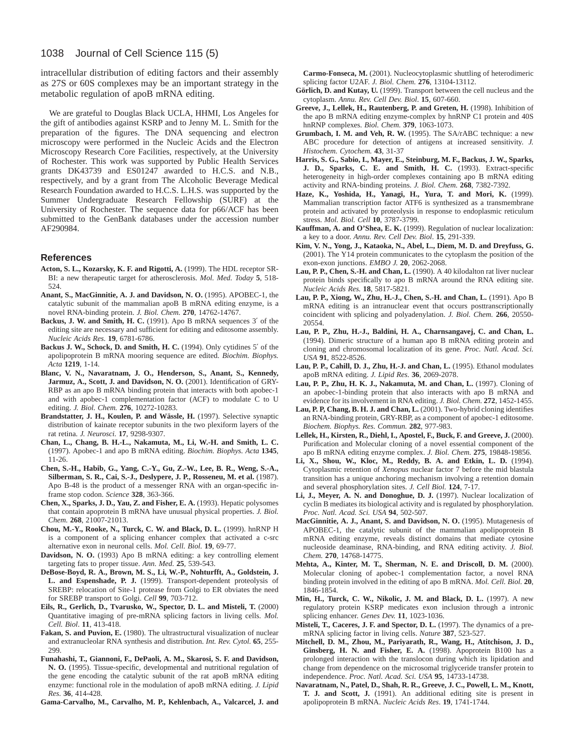intracellular distribution of editing factors and their assembly as 27S or 60S complexes may be an important strategy in the metabolic regulation of apoB mRNA editing.

We are grateful to Douglas Black UCLA, HHMI, Los Angeles for the gift of antibodies against KSRP and to Jenny M. L. Smith for the preparation of the figures. The DNA sequencing and electron microscopy were performed in the Nucleic Acids and the Electron Microscopy Research Core Facilities, respectively, at the University of Rochester. This work was supported by Public Health Services grants DK43739 and ES01247 awarded to H.C.S. and N.B., respectively, and by a grant from The Alcoholic Beverage Medical Research Foundation awarded to H.C.S. L.H.S. was supported by the Summer Undergraduate Research Fellowship (SURF) at the University of Rochester. The sequence data for p66/ACF has been submitted to the GenBank databases under the accession number AF290984.

#### **References**

- **Acton, S. L., Kozarsky, K. F. and Rigotti, A.** (1999). The HDL receptor SR-BI: a new therapeutic target for atherosclerosis. *Mol. Med. Today* **5**, 518- 524.
- **Anant, S., MacGinnitie, A. J. and Davidson, N. O.** (1995). APOBEC-1, the catalytic subunit of the mammalian apoB B mRNA editing enzyme, is a novel RNA-binding protein. *J. Biol. Chem.* **270**, 14762-14767.
- **Backus, J. W. and Smith, H. C.** (1991). Apo B mRNA sequences 3′ of the editing site are necessary and sufficient for editing and editosome assembly. *Nucleic Acids Res.* **19**, 6781-6786.
- Backus J. W., Schock, D. and Smith, H. C. (1994). Only cytidines 5' of the apolipoprotein B mRNA mooring sequence are edited. *Biochim. Biophys. Acta* **1219**, 1-14.
- **Blanc, V. N., Navaratnam, J. O., Henderson, S., Anant, S., Kennedy, Jarmuz, A., Scott, J. and Davidson, N. O.** (2001). Identification of GRY-RBP as an apo B mRNA binding protein that interacts with both apobec-1 and with apobec-1 complementation factor (ACF) to modulate C to U editing. *J. Biol. Chem.* **276**, 10272-10283.
- Brandstatter, J. H., Koulen, P. and Wässle, H. (1997). Selective synaptic distribution of kainate receptor subunits in the two plexiform layers of the rat retina. *J. Neurosci.* **17**, 9298-9307.
- **Chan, L., Chang, B. H.-L., Nakamuta, M., Li, W.-H. and Smith, L. C.** (1997). Apobec-1 and apo B mRNA editing. *Biochim. Biophys. Acta* **1345**, 11-26.
- **Chen, S.-H., Habib, G., Yang, C.-Y., Gu, Z.-W., Lee, B. R., Weng, S.-A., Silberman, S. R., Cai, S.-J., Deslypere, J. P., Rosseneu, M. et al.** (1987). Apo B-48 is the product of a messenger RNA with an organ-specific inframe stop codon. *Science* **328**, 363-366.
- **Chen, X., Sparks, J. D., Yau, Z. and Fisher, E. A.** (1993). Hepatic polysomes that contain apoprotein B mRNA have unusual physical properties. *J. Biol. Chem.* **268**, 21007-21013.
- **Chou, M.-Y., Rooke, N., Turck, C. W. and Black, D. L.** (1999). hnRNP H is a component of a splicing enhancer complex that activated a c-src alternative exon in neuronal cells. *Mol. Cell. Biol.* **19**, 69-77.
- **Davidson, N. O.** (1993) Apo B mRNA editing: a key controlling element targeting fats to proper tissue. *Ann. Med.* **25**, 539-543.
- **DeBose-Boyd, R. A., Brown, M. S., Li, W.-P., Nohturfft, A., Goldstein, J. L. and Espenshade, P. J.** (1999). Transport-dependent proteolysis of SREBP: relocation of Site-1 protease from Golgi to ER obviates the need for SREBP transport to Golgi. *Cell* **99**, 703-712.
- **Eils, R., Gerlich, D., Tvarusko, W., Spector, D. L. and Misteli, T.** (2000) Quantitative imaging of pre-mRNA splicing factors in living cells. *Mol. Cell. Biol*. **11**, 413-418.
- Fakan, S. and Puvion, E. (1980). The ultrastructural visualization of nuclear and extranucleolar RNA synthesis and distribution. *Int. Rev. Cytol.* **65**, 255- 299.
- **Funahashi, T., Giannoni, F., DePaoli, A. M., Skarosi, S. F. and Davidson, N. O.** (1995). Tissue-specific, developmental and nutritional regulation of the gene encoding the catalytic subunit of the rat apoB mRNA editing enzyme: functional role in the modulation of apoB mRNA editing. *J. Lipid Res.* **36**, 414-428.

**Gama-Carvalho, M., Carvalho, M. P., Kehlenbach, A., Valcarcel, J. and**

**Carmo-Fonseca, M.** (2001). Nucleocytoplasmic shuttling of heterodimeric splicing factor U2AF. *J. Biol. Chem.* **276**, 13104-13112.

- Görlich, D. and Kutay, U. (1999). Transport between the cell nucleus and the cytoplasm. *Annu. Rev. Cell Dev. Biol*. **15**, 607-660.
- **Greeve, J., Lellek, H., Rautenberg, P. and Greten, H.** (1998). Inhibition of the apo B mRNA editing enzyme-complex by hnRNP C1 protein and 40S hnRNP complexes. *Biol. Chem.* **379**, 1063-1073.
- **Grumbach, I. M. and Veh, R. W.** (1995). The SA/rABC technique: a new ABC procedure for detection of antigens at increased sensitivity. *J. Histochem. Cytochem.* **43**, 31-37
- **Harris, S. G., Sabio, I., Mayer, E., Steinburg, M. F., Backus, J. W., Sparks, J. D., Sparks, C. E. and Smith, H. C.** (1993). Extract-specific heterogeneity in high-order complexes containing apo B mRNA editing activity and RNA-binding proteins. *J. Biol. Chem.* **268**, 7382-7392.
- **Haze, K., Yoshida, H., Yanagi, H., Yura, T. and Mori, K.** (1999). Mammalian transcription factor ATF6 is synthesized as a transmembrane protein and activated by proteolysis in response to endoplasmic reticulum stress. *Mol. Biol. Cell* **10**, 3787-3799.
- **Kauffman, A. and O'Shea, E. K.** (1999). Regulation of nuclear localization: a key to a door. *Annu. Rev. Cell Dev. Biol*. **15**, 291-339.
- **Kim, V. N., Yong, J., Kataoka, N., Abel, L., Diem, M. D. and Dreyfuss, G.** (2001). The Y14 protein communicates to the cytoplasm the position of the exon-exon junctions. *EMBO J.* **20**, 2062-2068.
- **Lau, P. P., Chen, S.-H. and Chan, L.** (1990). A 40 kilodalton rat liver nuclear protein binds specifically to apo B mRNA around the RNA editing site. *Nucleic Acids Res.* **18**, 5817-5821.
- **Lau, P. P., Xiong, W., Zhu, H.-J., Chen, S.-H. and Chan, L.** (1991). Apo B mRNA editing is an intranuclear event that occurs posttranscriptionally coincident with splicing and polyadenylation. *J. Biol. Chem.* **266**, 20550- 20554.
- **Lau, P. P., Zhu, H.-J., Baldini, H. A., Charnsangavej, C. and Chan, L.** (1994). Dimeric structure of a human apo B mRNA editing protein and cloning and chromosomal localization of its gene. *Proc. Natl. Acad. Sci. USA* **91**, 8522-8526.
- **Lau, P. P., Cahill, D. J., Zhu, H.-J. and Chan, L.** (1995). Ethanol modulates apoB mRNA editing. *J. Lipid Res.* **36**, 2069-2078.
- **Lau, P. P., Zhu, H. K. J., Nakamuta, M. and Chan, L.** (1997). Cloning of an apobec-1-binding protein that also interacts with apo B mRNA and evidence for its involvement in RNA editing. *J. Biol. Chem.* **272**, 1452-1455.
- **Lau, P. P, Chang, B. H. J. and Chan, L.** (2001). Two-hybrid cloning identifies an RNA-binding protein, GRY-RBP, as a component of apobec-1 editosome. *Biochem. Biophys. Res. Commun.* **282**, 977-983.
- **Lellek, H., Kirsten, R., Diehl, I., Apostel, F., Buck, F. and Greeve, J.** (2000). Purification and Molecular cloning of a novel essential component of the apo B mRNA editing enzyme complex. *J. Biol. Chem.* **275**, 19848-19856.
- **Li, X., Shou, W., Kloc, M., Reddy, B. A. and Etkin, L. D.** (1994). Cytoplasmic retention of *Xenopus* nuclear factor 7 before the mid blastula transition has a unique anchoring mechanism involving a retention domain and several phosphorylation sites. *J. Cell Biol.* **124**, 7-17.
- Li, J., Meyer, A. N. and Donoghue, D. J. (1997). Nuclear localization of cyclin B mediates its biological activity and is regulated by phosphorylation. *Proc. Natl. Acad. Sci. USA* **94**, 502-507.
- MacGinnitie, A. J., Anant, S. and Davidson, N. O. (1995). Mutagenesis of APOBEC-1, the catalytic subunit of the mammalian apolipoprotein B mRNA editing enzyme, reveals distinct domains that mediate cytosine nucleoside deaminase, RNA-binding, and RNA editing activity. *J. Biol. Chem.* **270**, 14768-14775.
- **Mehta, A., Kinter, M. T., Sherman, N. E. and Driscoll, D. M.** (2000). Molecular cloning of apobec-1 complementation factor, a novel RNA binding protein involved in the editing of apo B mRNA. *Mol. Cell. Biol.* **20**, 1846-1854.
- **Min, H., Turck, C. W., Nikolic, J. M. and Black, D. L.** (1997). A new regulatory protein KSRP medicates exon inclusion through a intronic splicing enhancer. *Genes Dev.* **11**, 1023-1036.
- Misteli, T., Caceres, J. F. and Spector, D. L. (1997). The dynamics of a premRNA splicing factor in living cells. *Nature* **387**, 523-527.
- **Mitchell, D. M., Zhou, M., Pariyarath, R., Wang, H., Atitchison, J. D.,** Ginsberg, H. N. and Fisher, E. A. (1998). Apoprotein B100 has a prolonged interaction with the translocon during which its lipidation and change from dependence on the microsomal triglyceride transfer protein to independence. *Proc. Natl. Acad. Sci. USA* **95**, 14733-14738.
- **Navaratnam, N., Patel, D., Shah, R. R., Greeve, J. C., Powell, L. M., Knott, T. J. and Scott, J.** (1991). An additional editing site is present in apolipoprotein B mRNA. *Nucleic Acids Res*. **19**, 1741-1744.